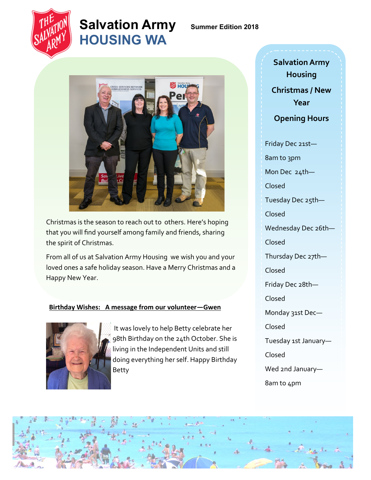

## **Salvation Army Summer Edition 2018 HOUSING WA**



Christmas is the season to reach out to others. Here's hoping that you will find yourself among family and friends, sharing the spirit of Christmas.

From all of us at Salvation Army Housing we wish you and your loved ones a safe holiday season. Have a Merry Christmas and a Happy New Year.

#### **Birthday Wishes: A message from our volunteer—Gwen**



It was lovely to help Betty celebrate her 98th Birthday on the 24th October. She is living in the Independent Units and still doing everything her self. Happy Birthday Betty

**Salvation Army Housing Christmas / New Year Opening Hours** Friday Dec 21st— 8am to 3pm Mon Dec 24th— Closed Tuesday Dec 25th— Closed Wednesday Dec 26th— Closed Thursday Dec 27th— Closed Friday Dec 28th— Closed Monday 31st Dec— Closed Tuesday 1st January— Closed Wed 2nd January— 8am to 4pm